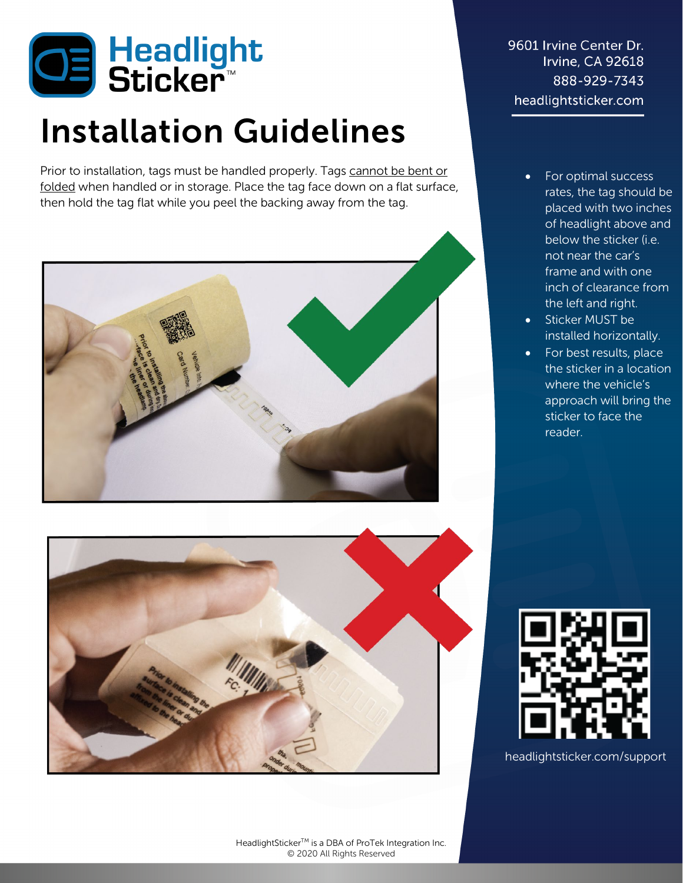

## Installation Guidelines

Prior to installation, tags must be handled properly. Tags cannot be bent or folded when handled or in storage. Place the tag face down on a flat surface, then hold the tag flat while you peel the backing away from the tag.





9601 Irvine Center Dr. Irvine, CA 92618 888-929-7343 headlightsticker.com

- For optimal success rates, the tag should be placed with two inches of headlight above and below the sticker (i.e. not near the car's frame and with one inch of clearance from the left and right.
- Sticker MUST be installed horizontally.
- For best results, place the sticker in a location where the vehicle's approach will bring the sticker to face the reader.



headlightsticker.com/support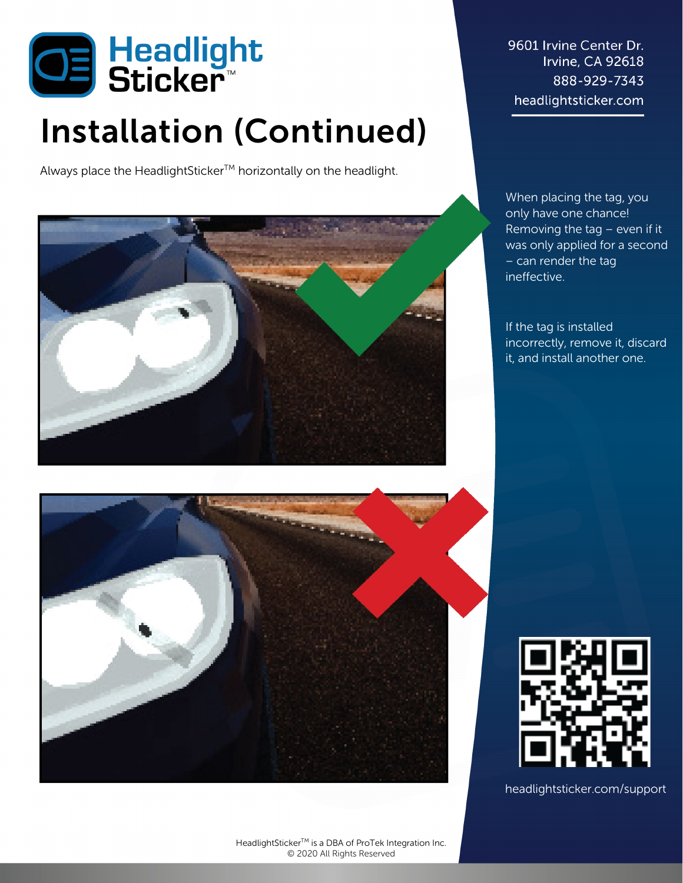

## Installation (Continued)

Always place the HeadlightSticker™ horizontally on the headlight.



9601 Irvine Center Dr. Irvine, CA 92618 888-929-7343 headlightsticker.com

When placing the tag, you only have one chance! Removing the tag – even if it was only applied for a second – can render the tag ineffective.

If the tag is installed incorrectly, remove it, discard it, and install another one.



headlightsticker.com/support